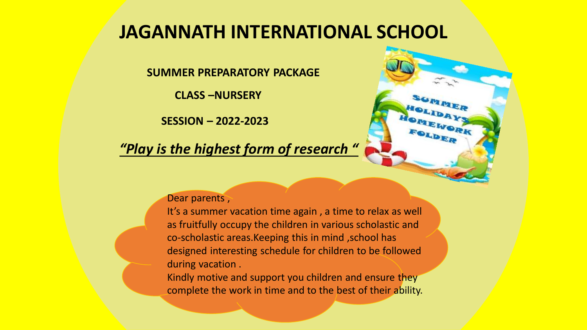#### **JAGANNATH INTERNATIONAL SCHOOL**

**SUMMER PREPARATORY PACKAGE** 

**CLASS –NURSERY** 

**SESSION – 2022-2023**

*"Play is the highest form of research "*

#### Dear parents,

It's a summer vacation time again , a time to relax as well as fruitfully occupy the children in various scholastic and co-scholastic areas.Keeping this in mind ,school has designed interesting schedule for children to be followed during vacation .

Kindly motive and support you children and ensure they complete the work in time and to the best of their ability.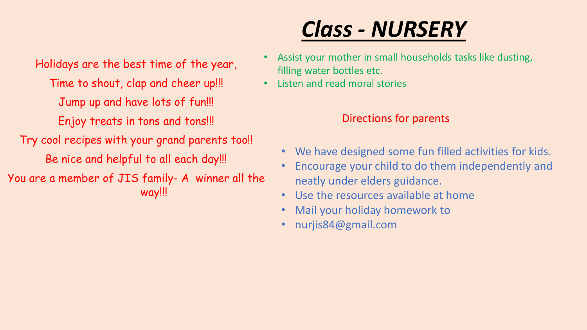Holidays are the best time of the year, Time to shout, clap and cheer up!!! Jump up and have lots of fun!!! Enjoy treats in tons and tons!!! Try cool recipes with your grand parents too!! Be nice and helpful to all each day!!! You are a member of JIS family- A winner all the way!!!

#### *Class - NURSERY*

- Assist your mother in small households tasks like dusting, filling water bottles etc.
- Listen and read moral stories

#### Directions for parents

- We have designed some fun filled activities for kids.
- Encourage your child to do them independently and neatly under elders guidance.
- Use the resources available at home
- Mail your holiday homework to
- nurjis84@gmail.com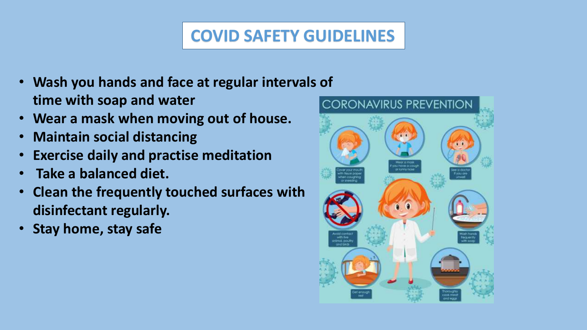#### **COVID SAFETY GUIDELINES**

- **Wash you hands and face at regular intervals of time with soap and water**
- **Wear a mask when moving out of house.**
- **Maintain social distancing**
- **Exercise daily and practise meditation**
- **Take a balanced diet.**
- **Clean the frequently touched surfaces with disinfectant regularly.**
- **Stay home, stay safe**

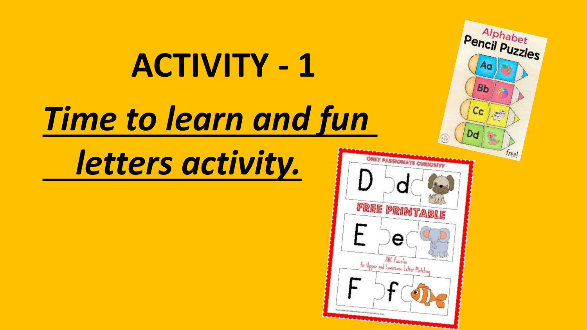# **ACTIVITY - 1** *Time to learn and fun*

*letters activity.*



Alphabet Pencil Puzzles

90

**Bb** 

 $c_{c}$ 

Dd

 $\mathcal{M}^{\mathbb{Z}}$ 

freel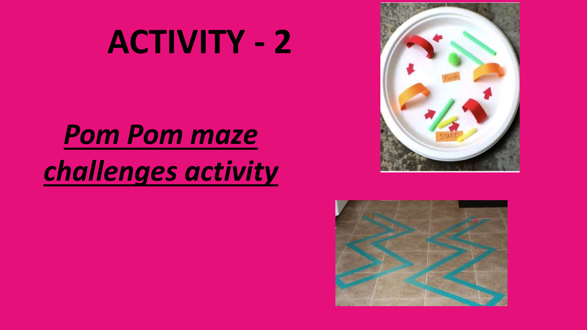## **ACTIVITY - 2**

### *Pom Pom maze challenges activity*



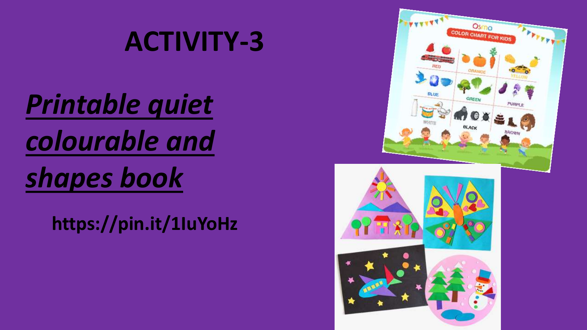#### **ACTIVITY-3**

*Printable quiet colourable and shapes book*

**https://pin.it/1IuYoHz**

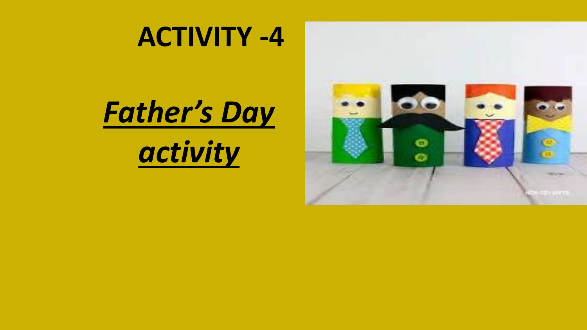#### **ACTIVITY -4**



*activity* 

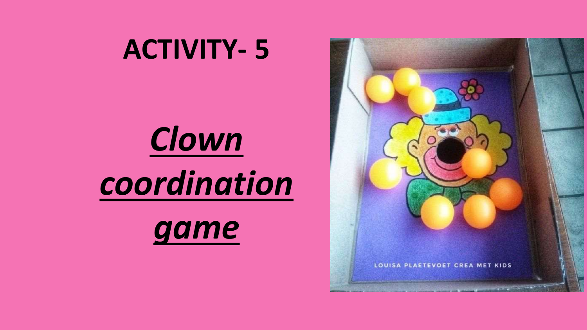#### **ACTIVITY- 5**



*coordination* 



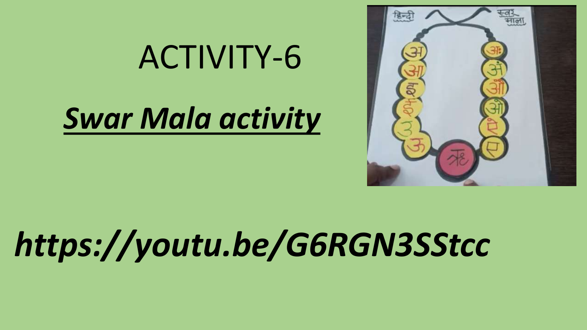## ACTIVITY-6

### *Swar Mala activity*



## *https://youtu.be/G6RGN3SStcc*